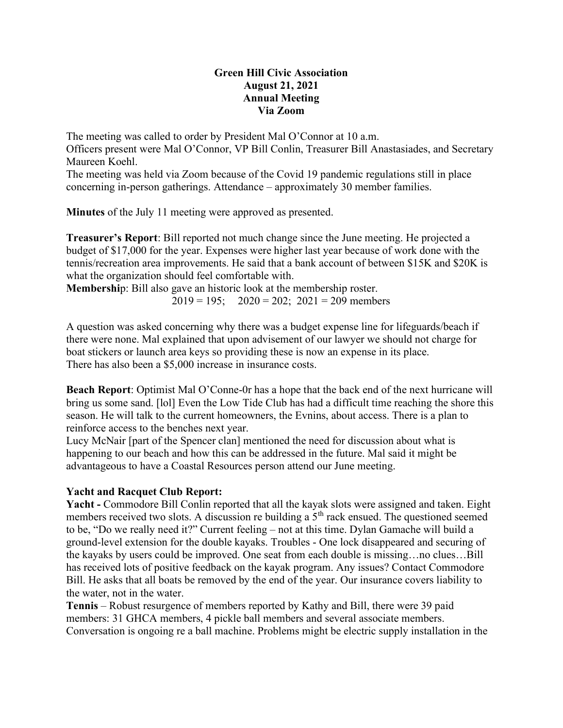## Green Hill Civic Association August 21, 2021 Annual Meeting Via Zoom

The meeting was called to order by President Mal O'Connor at 10 a.m. Officers present were Mal O'Connor, VP Bill Conlin, Treasurer Bill Anastasiades, and Secretary Maureen Koehl.

The meeting was held via Zoom because of the Covid 19 pandemic regulations still in place concerning in-person gatherings. Attendance – approximately 30 member families.

Minutes of the July 11 meeting were approved as presented.

Treasurer's Report: Bill reported not much change since the June meeting. He projected a budget of \$17,000 for the year. Expenses were higher last year because of work done with the tennis/recreation area improvements. He said that a bank account of between \$15K and \$20K is what the organization should feel comfortable with.

Membership: Bill also gave an historic look at the membership roster.  $2019 = 195$ ;  $2020 = 202$ ;  $2021 = 209$  members

A question was asked concerning why there was a budget expense line for lifeguards/beach if there were none. Mal explained that upon advisement of our lawyer we should not charge for boat stickers or launch area keys so providing these is now an expense in its place. There has also been a \$5,000 increase in insurance costs.

Beach Report: Optimist Mal O'Conne-0r has a hope that the back end of the next hurricane will bring us some sand. [lol] Even the Low Tide Club has had a difficult time reaching the shore this season. He will talk to the current homeowners, the Evnins, about access. There is a plan to reinforce access to the benches next year.

Lucy McNair [part of the Spencer clan] mentioned the need for discussion about what is happening to our beach and how this can be addressed in the future. Mal said it might be advantageous to have a Coastal Resources person attend our June meeting.

## Yacht and Racquet Club Report:

Yacht - Commodore Bill Conlin reported that all the kayak slots were assigned and taken. Eight members received two slots. A discussion re building a  $5<sup>th</sup>$  rack ensued. The questioned seemed to be, "Do we really need it?" Current feeling – not at this time. Dylan Gamache will build a ground-level extension for the double kayaks. Troubles - One lock disappeared and securing of the kayaks by users could be improved. One seat from each double is missing…no clues…Bill has received lots of positive feedback on the kayak program. Any issues? Contact Commodore Bill. He asks that all boats be removed by the end of the year. Our insurance covers liability to the water, not in the water.

Tennis – Robust resurgence of members reported by Kathy and Bill, there were 39 paid members: 31 GHCA members, 4 pickle ball members and several associate members. Conversation is ongoing re a ball machine. Problems might be electric supply installation in the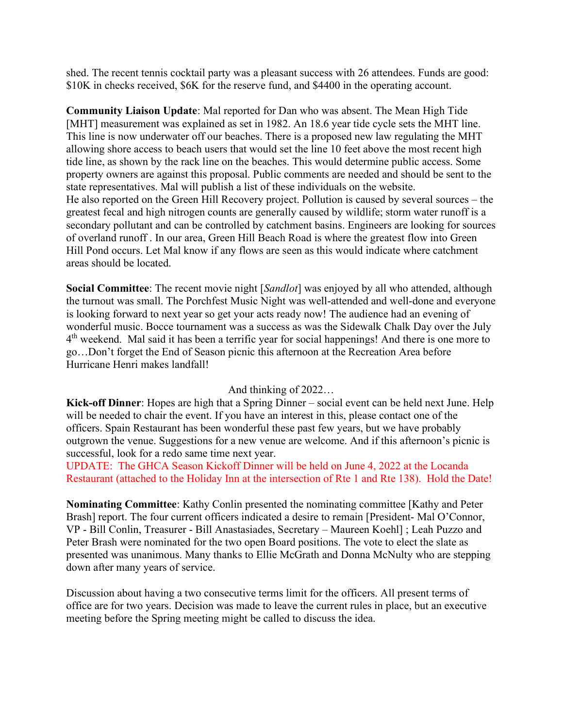shed. The recent tennis cocktail party was a pleasant success with 26 attendees. Funds are good: \$10K in checks received, \$6K for the reserve fund, and \$4400 in the operating account.

Community Liaison Update: Mal reported for Dan who was absent. The Mean High Tide [MHT] measurement was explained as set in 1982. An 18.6 year tide cycle sets the MHT line. This line is now underwater off our beaches. There is a proposed new law regulating the MHT allowing shore access to beach users that would set the line 10 feet above the most recent high tide line, as shown by the rack line on the beaches. This would determine public access. Some property owners are against this proposal. Public comments are needed and should be sent to the state representatives. Mal will publish a list of these individuals on the website. He also reported on the Green Hill Recovery project. Pollution is caused by several sources – the greatest fecal and high nitrogen counts are generally caused by wildlife; storm water runoff is a secondary pollutant and can be controlled by catchment basins. Engineers are looking for sources of overland runoff . In our area, Green Hill Beach Road is where the greatest flow into Green Hill Pond occurs. Let Mal know if any flows are seen as this would indicate where catchment areas should be located.

**Social Committee:** The recent movie night [*Sandlot*] was enjoyed by all who attended, although the turnout was small. The Porchfest Music Night was well-attended and well-done and everyone is looking forward to next year so get your acts ready now! The audience had an evening of wonderful music. Bocce tournament was a success as was the Sidewalk Chalk Day over the July 4<sup>th</sup> weekend. Mal said it has been a terrific year for social happenings! And there is one more to go…Don't forget the End of Season picnic this afternoon at the Recreation Area before Hurricane Henri makes landfall!

## And thinking of 2022…

Kick-off Dinner: Hopes are high that a Spring Dinner – social event can be held next June. Help will be needed to chair the event. If you have an interest in this, please contact one of the officers. Spain Restaurant has been wonderful these past few years, but we have probably outgrown the venue. Suggestions for a new venue are welcome. And if this afternoon's picnic is successful, look for a redo same time next year.

UPDATE: The GHCA Season Kickoff Dinner will be held on June 4, 2022 at the Locanda Restaurant (attached to the Holiday Inn at the intersection of Rte 1 and Rte 138). Hold the Date!

Nominating Committee: Kathy Conlin presented the nominating committee [Kathy and Peter Brash] report. The four current officers indicated a desire to remain [President- Mal O'Connor, VP - Bill Conlin, Treasurer - Bill Anastasiades, Secretary – Maureen Koehl] ; Leah Puzzo and Peter Brash were nominated for the two open Board positions. The vote to elect the slate as presented was unanimous. Many thanks to Ellie McGrath and Donna McNulty who are stepping down after many years of service.

Discussion about having a two consecutive terms limit for the officers. All present terms of office are for two years. Decision was made to leave the current rules in place, but an executive meeting before the Spring meeting might be called to discuss the idea.